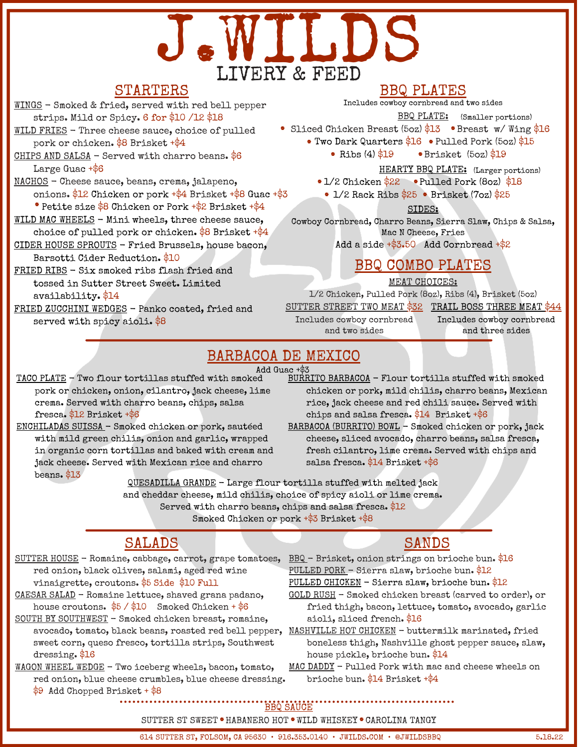# J.WILDS LIVERY & FEED

## STARTERS

WINGS - Smoked & fried, served with red bell pepper strips. Mild or Spicy. 6 for \$10 /12 \$18

WILD FRIES - Three cheese sauce, choice of pulled pork or chicken. \$8 Brisket +\$4

- CHIPS AND SALSA Served with charro beans.  $6$ Large Guac +\$6
- NACHOS Cheese sauce, beans, crema, jalapeno, onions. \$12 Chicken or pork +\$4 Brisket +\$8 Guac +\$3
- Petite size \$8 Chicken or Pork +\$2 Brisket +\$4
- WILD MAC WHEELS Mini wheels, three cheese sauce, choice of pulled pork or chicken.  $$8$  Brisket  $+$ \$4
- CIDER HOUSE SPROUTS Fried Brussels, house bacon, Barsotti Cider Reduction. \$10
- FRIED RIBS Six smoked ribs flash fried and tossed in Sutter Street Sweet. Limited availability. \$14
- FRIED ZUCCHINI WEDGES Panko coated, fried and served with spicy aioli. \$8

#### BBQ PLATES

Includes cowboy cornbread and two sides

- Sliced Chicken Breast  $(5oz)$  \$13 Breast w/Wing \$16 BBQ PLATE: (Smaller portions)
- Two Dark Quarters  $16$  Pulled Pork (5oz)  $15$ 
	- Ribs (4) \$19 Brisket (5oz) \$19 . • Ribs  $(4)$ \$19
	- HEARTY BBQ PLATE: (Larger portions)
	- 1/2 Chicken \$22 Pulled Pork (8oz) \$18
		- $1/2$  Rack Ribs  $$25$  Brisket (7oz)  $$25$

SIDES:

Cowboy Cornbread, Charro Beans, Sierra Slaw, Chips & Salsa, Mac N Cheese, Fries

Add a side  $+$ \$3.50 Add Cornbread  $+$ \$2

## BBQ COMBO PLATES

MEAT CHOICES:

1/2 Chicken, Pulled Pork (8oz), Ribs (4), Brisket (5oz)

<u>SUTTER STREET TWO MEAT \$32 TRAIL BOSS THREE MEAT \$44</u> Includes cowboy cornbread and two sides

Includes cowboy cornbread and three sides

## BARBACOA DE MEXICO

Add Guac +\$3

TACO PLATE - Two flour tortillas stuffed with smoked pork or chicken, onion, cilantro, jack cheese, lime crema. Served with charro beans, chips, salsa fresca. \$12 Brisket +\$6

ENCHILADAS SUISSA - Smoked chicken or pork, sautéed with mild green chilis, onion and garlic, wrapped in organic corn tortillas and baked with cream and jack cheese. Served with Mexican rice and charro beans. \$13

- BURRITO BARBACOA Flour tortilla stuffed with smoked chicken or pork, mild chilis, charro beans, Mexican rice, jack cheese and red chili sauce. Served with chips and salsa fresca. \$14 Brisket +\$6
- BARBACOA (BURRITO) BOWL Smoked chicken or pork, jack cheese, sliced avocado, charro beans, salsa fresca, fresh cilantro, lime crema. Served with chips and salsa fresca. \$14 Brisket +\$6

QUESADILLA GRANDE - Large flour tortilla stuffed with melted jack and cheddar cheese, mild chilis, choice of spicy aioli or lime crema. Served with charro beans, chips and salsa fresca. \$12 Smoked Chicken or pork +\$3 Brisket +\$8

## SALADS

- SUTTER HOUSE Romaine, cabbage, carrot, grape tomatoes, red onion, black olives, salami, aged red wine vinaigrette, croutons. \$5 Side \$10 Full
- CAESAR SALAD Romaine lettuce, shaved grana padano, house croutons.  $$5 / $10$  Smoked Chicken +  $$6$
- SOUTH BY SOUTHWEST Smoked chicken breast, romaine, sweet corn, queso fresco, tortilla strips, Southwest dressing. \$16
- WAGON WHEEL WEDGE Two iceberg wheels, bacon, tomato, red onion, blue cheese crumbles, blue cheese dressing. \$9 Add Chopped Brisket + \$8

## SANDS

BBQ - Brisket, onion strings on brioche bun. \$16 PULLED PORK - Sierra slaw, brioche bun. \$12 PULLED CHICKEN - Sierra slaw, brioche bun. \$12

- GOLD RUSH Smoked chicken breast (carved to order), or fried thigh, bacon, lettuce, tomato, avocado, garlic aioli, sliced french. \$16
- avocado, tomato, black beans, roasted red bell pepper, <u>NASHVILLE HOT CHICKEN</u> buttermilk marinated, fried boneless thigh, Nashville ghost pepper sauce, slaw, house pickle, brioche bun. \$14
	- MAC DADDY Pulled Pork with mac and cheese wheels on brioche bun. \$14 Brisket +\$4

#### BBQ SAUCE

#### SUTTER ST SWEET . HABANERO HOT . WILD WHISKEY . CAROLINA TANGY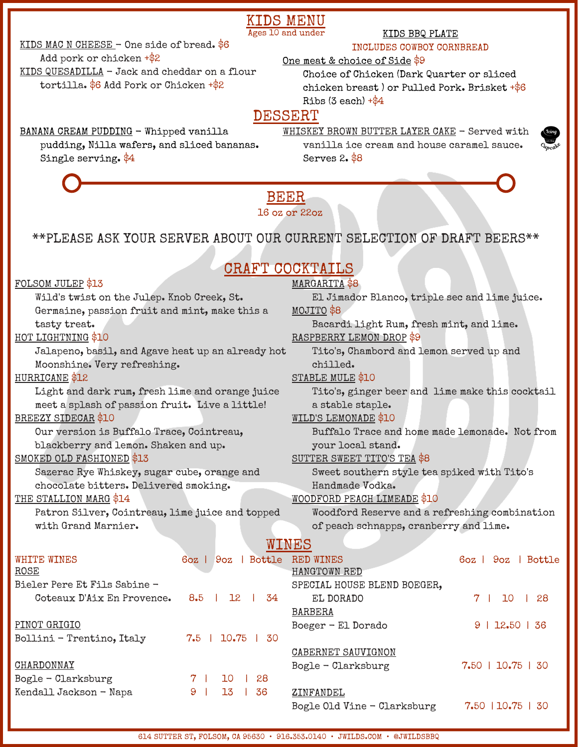## KIDS MENU

Ages 10 and under

#### KIDS MAC N CHEESE - One side of bread. \$6

#### KIDS BBQ PLATE INCLUDES COWBOY CORNBREAD

#### Add pork or chicken  $+\$2$

KIDS QUESADILLA - Jack and cheddar on a flour tortilla. \$6 Add Pork or Chicken +\$2

One meat & choice of Side \$9

 Choice of Chicken (Dark Quarter or sliced chicken breast ) or Pulled Pork. Brisket +\$6 Ribs  $(3 each) + $4$ 

## DESSERT

#### BANANA CREAM PUDDING - Whipped vanilla

 pudding, Nilla wafers, and sliced bananas. Single serving. \$4

WHISKEY BROWN BUTTER LAYER CAKE - Served with vanilla ice cream and house caramel sauce. Serves 2. \$8

Bogle Old Vine - Clarksburg 7.50 | 10.75 | 30



#### BEER 16 oz or 22oz

## \*\*PLEASE ASK YOUR SERVER ABOUT OUR CURRENT SELECTION OF DRAFT BEERS\*\*

# CRAFT COCKTAILS

| FOLSOM JULEP \$13                                 |                                    | MARGARITA \$8                                   |                             |  |  |
|---------------------------------------------------|------------------------------------|-------------------------------------------------|-----------------------------|--|--|
| Wild's twist on the Julep. Knob Creek, St.        |                                    | El Jimador Blanco, triple sec and lime juice.   |                             |  |  |
| Germaine, passion fruit and mint, make this a     |                                    | MOJITO \$8                                      |                             |  |  |
| tasty treat.                                      |                                    | Bacardi light Rum, fresh mint, and lime.        |                             |  |  |
| HOT LIGHTNING \$10                                |                                    | RASPBERRY LEMON DROP \$9                        |                             |  |  |
| Jalapeno, basil, and Agave heat up an already hot |                                    | Tito's, Chambord and lemon served up and        |                             |  |  |
| Moonshine. Very refreshing.                       |                                    | chilled.                                        |                             |  |  |
| HURRICANE \$12                                    |                                    | STABLE MULE \$10                                |                             |  |  |
| Light and dark rum, fresh lime and orange juice   |                                    | Tito's, ginger beer and lime make this cocktail |                             |  |  |
| meet a splash of passion fruit. Live a little!    |                                    | a stable staple.                                |                             |  |  |
| <b>BREEZY SIDECAR \$10</b>                        |                                    | WILD'S LEMONADE \$10                            |                             |  |  |
| Our version is Buffalo Trace, Cointreau,          |                                    | Buffalo Trace and home made lemonade. Not from  |                             |  |  |
| blackberry and lemon. Shaken and up.              |                                    | your local stand.                               |                             |  |  |
| <b>SMOKED OLD FASHIONED \$13</b>                  |                                    | SUTTER SWEET TITO'S TEA \$8                     |                             |  |  |
| Sazerac Rye Whiskey, sugar cube, orange and       |                                    | Sweet southern style tea spiked with Tito's     |                             |  |  |
| chocolate bitters. Delivered smoking.             |                                    | Handmade Vodka.                                 |                             |  |  |
| THE STALLION MARG \$14                            |                                    | WOODFORD PEACH LIMEADE \$10                     |                             |  |  |
| Patron Silver, Cointreau, lime juice and topped   |                                    | Woodford Reserve and a refreshing combination   |                             |  |  |
| with Grand Marnier.                               |                                    | of peach schnapps, cranberry and lime.          |                             |  |  |
|                                                   |                                    | WINES                                           |                             |  |  |
| <b>WHITE WINES</b>                                | 6oz   9oz   Bottle                 | <b>RED WINES</b>                                | Bottle<br>$60z$   $90z$     |  |  |
| <b>ROSE</b>                                       |                                    | HANGTOWN RED                                    |                             |  |  |
| Bieler Pere Et Fils Sabine -                      |                                    | SPECIAL HOUSE BLEND BOEGER,                     |                             |  |  |
| Coteaux D'Aix En Provence.                        | 8.5<br>$12$  <br>34<br>$\sim$ 1.00 | EL DORADO                                       | 7 <sup>1</sup><br>10<br>-28 |  |  |
|                                                   |                                    | <b>BARBERA</b>                                  |                             |  |  |
| PINOT GRIGIO                                      |                                    | Boeger - El Dorado                              | 9   12.50   36              |  |  |
| Bollini - Trentino, Italy                         | $7.5$   10.75  <br>30              |                                                 |                             |  |  |
|                                                   |                                    | CABERNET SAUVIGNON                              |                             |  |  |
| CHARDONNAY                                        |                                    | Bogle - Clarksburg                              | 7.50   10.75   30           |  |  |
| Bogle - Clarksburg                                | 7<br>10<br>28                      |                                                 |                             |  |  |
| Kendall Jackson - Napa                            | 9<br>13<br>36                      | ZINFANDEL                                       |                             |  |  |